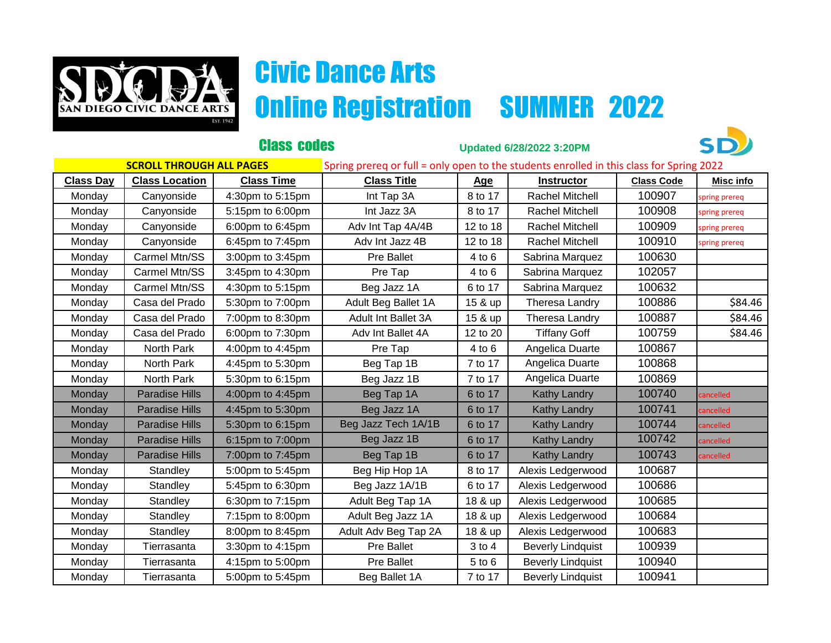

## Civic Dance Arts **SAN DIEGO CIVIC DANCE ARTS Online Registration SUMMER 2022**

|                                 |                       | <b>Class codes</b> | <b>Updated 6/28/2022 3:20PM</b>                                                          |            |                          |                   |                  |
|---------------------------------|-----------------------|--------------------|------------------------------------------------------------------------------------------|------------|--------------------------|-------------------|------------------|
| <b>SCROLL THROUGH ALL PAGES</b> |                       |                    | Spring prereq or full = only open to the students enrolled in this class for Spring 2022 |            |                          |                   |                  |
| <b>Class Day</b>                | <b>Class Location</b> | <b>Class Time</b>  | <b>Class Title</b>                                                                       | Age        | <b>Instructor</b>        | <b>Class Code</b> | <b>Misc info</b> |
| Monday                          | Canyonside            | 4:30pm to 5:15pm   | Int Tap 3A                                                                               | 8 to 17    | Rachel Mitchell          | 100907            | spring prereq    |
| Monday                          | Canyonside            | 5:15pm to 6:00pm   | Int Jazz 3A                                                                              | 8 to 17    | Rachel Mitchell          | 100908            | spring prereq    |
| Monday                          | Canyonside            | 6:00pm to 6:45pm   | Adv Int Tap 4A/4B                                                                        | 12 to 18   | Rachel Mitchell          | 100909            | spring prereq    |
| Monday                          | Canyonside            | 6:45pm to 7:45pm   | Adv Int Jazz 4B                                                                          | 12 to 18   | Rachel Mitchell          | 100910            | spring prereq    |
| Monday                          | Carmel Mtn/SS         | 3:00pm to 3:45pm   | <b>Pre Ballet</b>                                                                        | 4 to 6     | Sabrina Marquez          | 100630            |                  |
| Monday                          | Carmel Mtn/SS         | 3:45pm to 4:30pm   | Pre Tap                                                                                  | 4 to 6     | Sabrina Marquez          | 102057            |                  |
| Monday                          | Carmel Mtn/SS         | 4:30pm to 5:15pm   | Beg Jazz 1A                                                                              | 6 to 17    | Sabrina Marquez          | 100632            |                  |
| Monday                          | Casa del Prado        | 5:30pm to 7:00pm   | Adult Beg Ballet 1A                                                                      | 15 & up    | Theresa Landry           | 100886            | \$84.46          |
| Monday                          | Casa del Prado        | 7:00pm to 8:30pm   | Adult Int Ballet 3A                                                                      | 15 & up    | Theresa Landry           | 100887            | \$84.46          |
| Monday                          | Casa del Prado        | 6:00pm to 7:30pm   | Adv Int Ballet 4A                                                                        | 12 to 20   | <b>Tiffany Goff</b>      | 100759            | \$84.46          |
| Monday                          | North Park            | 4:00pm to 4:45pm   | Pre Tap                                                                                  | 4 to 6     | Angelica Duarte          | 100867            |                  |
| Monday                          | North Park            | 4:45pm to 5:30pm   | Beg Tap 1B                                                                               | 7 to 17    | Angelica Duarte          | 100868            |                  |
| Monday                          | North Park            | 5:30pm to 6:15pm   | Beg Jazz 1B                                                                              | 7 to 17    | Angelica Duarte          | 100869            |                  |
| Monday                          | <b>Paradise Hills</b> | 4:00pm to 4:45pm   | Beg Tap 1A                                                                               | 6 to 17    | <b>Kathy Landry</b>      | 100740            | cancelled        |
| Monday                          | <b>Paradise Hills</b> | 4:45pm to 5:30pm   | Beg Jazz 1A                                                                              | 6 to 17    | <b>Kathy Landry</b>      | 100741            | cancelled        |
| Monday                          | <b>Paradise Hills</b> | 5:30pm to 6:15pm   | Beg Jazz Tech 1A/1B                                                                      | 6 to 17    | <b>Kathy Landry</b>      | 100744            | cancelled        |
| Monday                          | <b>Paradise Hills</b> | 6:15pm to 7:00pm   | Beg Jazz 1B                                                                              | 6 to 17    | <b>Kathy Landry</b>      | 100742            | cancelled        |
| Monday                          | <b>Paradise Hills</b> | 7:00pm to 7:45pm   | Beg Tap 1B                                                                               | 6 to 17    | <b>Kathy Landry</b>      | 100743            | cancelled        |
| Monday                          | Standley              | 5:00pm to 5:45pm   | Beg Hip Hop 1A                                                                           | 8 to 17    | Alexis Ledgerwood        | 100687            |                  |
| Monday                          | Standley              | 5:45pm to 6:30pm   | Beg Jazz 1A/1B                                                                           | 6 to 17    | Alexis Ledgerwood        | 100686            |                  |
| Monday                          | Standley              | 6:30pm to 7:15pm   | Adult Beg Tap 1A                                                                         | 18 & up    | Alexis Ledgerwood        | 100685            |                  |
| Monday                          | Standley              | 7:15pm to 8:00pm   | Adult Beg Jazz 1A                                                                        | 18 & up    | Alexis Ledgerwood        | 100684            |                  |
| Monday                          | Standley              | 8:00pm to 8:45pm   | Adult Adv Beg Tap 2A                                                                     | 18 & up    | Alexis Ledgerwood        | 100683            |                  |
| Monday                          | Tierrasanta           | 3:30pm to 4:15pm   | Pre Ballet                                                                               | $3$ to $4$ | <b>Beverly Lindquist</b> | 100939            |                  |
| Monday                          | Tierrasanta           | 4:15pm to 5:00pm   | <b>Pre Ballet</b>                                                                        | $5$ to $6$ | <b>Beverly Lindquist</b> | 100940            |                  |
| Monday                          | Tierrasanta           | 5:00pm to 5:45pm   | Beg Ballet 1A                                                                            | 7 to 17    | <b>Beverly Lindquist</b> | 100941            |                  |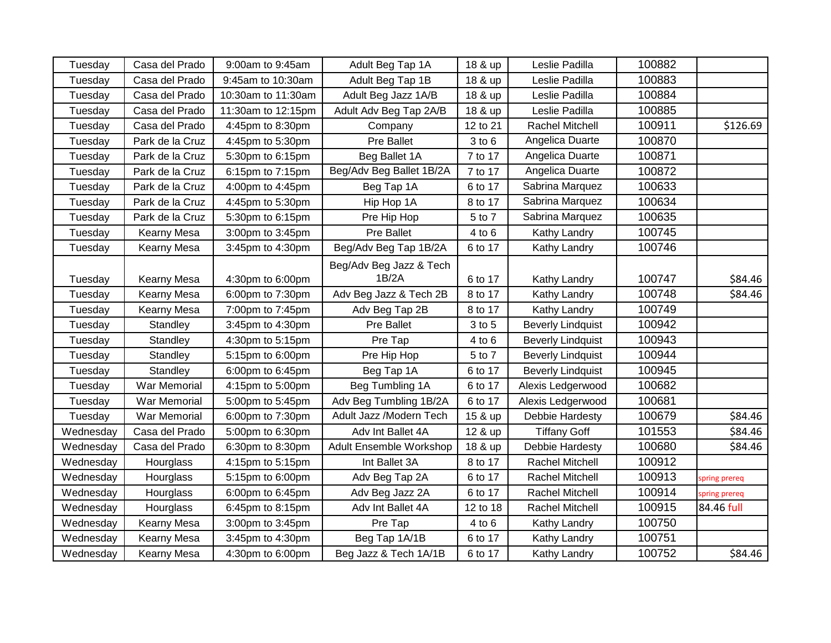| Tuesday   | Casa del Prado  | 9:00am to 9:45am   | Adult Beg Tap 1A         | 18 & up    | Leslie Padilla           | 100882 |               |
|-----------|-----------------|--------------------|--------------------------|------------|--------------------------|--------|---------------|
| Tuesday   | Casa del Prado  | 9:45am to 10:30am  | Adult Beg Tap 1B         | 18 & up    | Leslie Padilla           | 100883 |               |
| Tuesday   | Casa del Prado  | 10:30am to 11:30am | Adult Beg Jazz 1A/B      | 18 & up    | Leslie Padilla           | 100884 |               |
| Tuesday   | Casa del Prado  | 11:30am to 12:15pm | Adult Adv Beg Tap 2A/B   | 18 & up    | Leslie Padilla           | 100885 |               |
| Tuesday   | Casa del Prado  | 4:45pm to 8:30pm   | Company                  | 12 to 21   | Rachel Mitchell          | 100911 | \$126.69      |
| Tuesday   | Park de la Cruz | 4:45pm to 5:30pm   | Pre Ballet               | $3$ to $6$ | Angelica Duarte          | 100870 |               |
| Tuesday   | Park de la Cruz | 5:30pm to 6:15pm   | Beg Ballet 1A            | 7 to 17    | Angelica Duarte          | 100871 |               |
| Tuesday   | Park de la Cruz | 6:15pm to 7:15pm   | Beg/Adv Beg Ballet 1B/2A | 7 to 17    | Angelica Duarte          | 100872 |               |
| Tuesday   | Park de la Cruz | 4:00pm to 4:45pm   | Beg Tap 1A               | 6 to 17    | Sabrina Marquez          | 100633 |               |
| Tuesday   | Park de la Cruz | 4:45pm to 5:30pm   | Hip Hop 1A               | 8 to 17    | Sabrina Marquez          | 100634 |               |
| Tuesday   | Park de la Cruz | 5:30pm to 6:15pm   | Pre Hip Hop              | 5 to 7     | Sabrina Marquez          | 100635 |               |
| Tuesday   | Kearny Mesa     | 3:00pm to 3:45pm   | Pre Ballet               | 4 to 6     | Kathy Landry             | 100745 |               |
| Tuesday   | Kearny Mesa     | 3:45pm to 4:30pm   | Beg/Adv Beg Tap 1B/2A    | 6 to 17    | Kathy Landry             | 100746 |               |
|           |                 |                    | Beg/Adv Beg Jazz & Tech  |            |                          |        |               |
| Tuesday   | Kearny Mesa     | 4:30pm to 6:00pm   | 1B/2A                    | 6 to 17    | Kathy Landry             | 100747 | \$84.46       |
| Tuesday   | Kearny Mesa     | 6:00pm to 7:30pm   | Adv Beg Jazz & Tech 2B   | 8 to 17    | Kathy Landry             | 100748 | \$84.46       |
| Tuesday   | Kearny Mesa     | 7:00pm to 7:45pm   | Adv Beg Tap 2B           | 8 to 17    | Kathy Landry             | 100749 |               |
| Tuesday   | Standley        | 3:45pm to 4:30pm   | Pre Ballet               | 3 to 5     | <b>Beverly Lindquist</b> | 100942 |               |
| Tuesday   | Standley        | 4:30pm to 5:15pm   | Pre Tap                  | 4 to 6     | <b>Beverly Lindquist</b> | 100943 |               |
| Tuesday   | Standley        | 5:15pm to 6:00pm   | Pre Hip Hop              | 5 to 7     | <b>Beverly Lindquist</b> | 100944 |               |
| Tuesday   | Standley        | 6:00pm to 6:45pm   | Beg Tap 1A               | 6 to 17    | <b>Beverly Lindquist</b> | 100945 |               |
| Tuesday   | War Memorial    | 4:15pm to 5:00pm   | Beg Tumbling 1A          | 6 to 17    | Alexis Ledgerwood        | 100682 |               |
| Tuesday   | War Memorial    | 5:00pm to 5:45pm   | Adv Beg Tumbling 1B/2A   | 6 to 17    | Alexis Ledgerwood        | 100681 |               |
| Tuesday   | War Memorial    | 6:00pm to 7:30pm   | Adult Jazz /Modern Tech  | 15 & up    | Debbie Hardesty          | 100679 | \$84.46       |
| Wednesday | Casa del Prado  | 5:00pm to 6:30pm   | Adv Int Ballet 4A        | 12 & up    | <b>Tiffany Goff</b>      | 101553 | \$84.46       |
| Wednesday | Casa del Prado  | 6:30pm to 8:30pm   | Adult Ensemble Workshop  | 18 & up    | Debbie Hardesty          | 100680 | \$84.46       |
| Wednesday | Hourglass       | 4:15pm to 5:15pm   | Int Ballet 3A            | 8 to 17    | Rachel Mitchell          | 100912 |               |
| Wednesday | Hourglass       | 5:15pm to 6:00pm   | Adv Beg Tap 2A           | 6 to 17    | Rachel Mitchell          | 100913 | spring prereq |
| Wednesday | Hourglass       | 6:00pm to 6:45pm   | Adv Beg Jazz 2A          | 6 to 17    | Rachel Mitchell          | 100914 | spring prereq |
| Wednesday | Hourglass       | 6:45pm to 8:15pm   | Adv Int Ballet 4A        | 12 to 18   | Rachel Mitchell          | 100915 | 84.46 full    |
| Wednesday | Kearny Mesa     | 3:00pm to 3:45pm   | Pre Tap                  | 4 to 6     | Kathy Landry             | 100750 |               |
| Wednesday | Kearny Mesa     | 3:45pm to 4:30pm   | Beg Tap 1A/1B            | 6 to 17    | Kathy Landry             | 100751 |               |
| Wednesday | Kearny Mesa     | 4:30pm to 6:00pm   | Beg Jazz & Tech 1A/1B    | 6 to 17    | Kathy Landry             | 100752 | \$84.46       |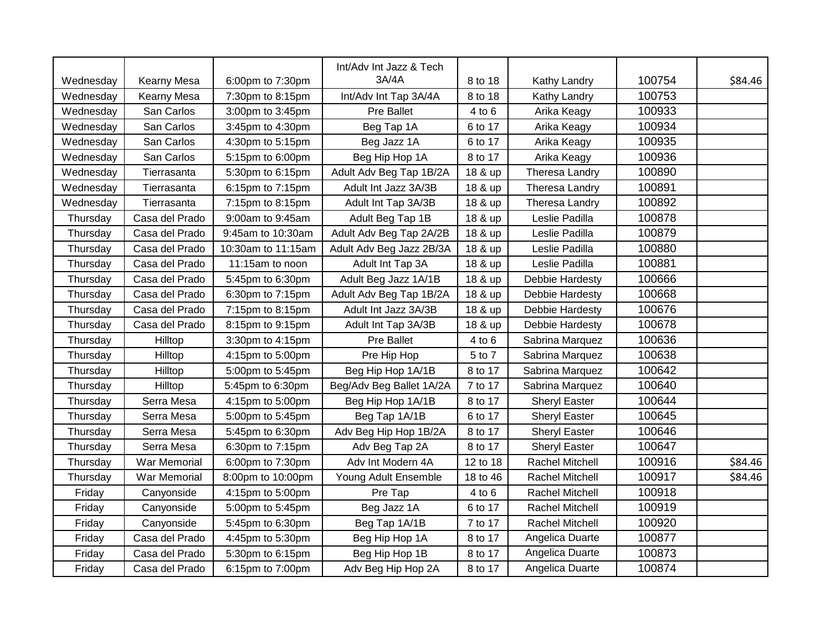|           |                |                    | Int/Adv Int Jazz & Tech  |          |                        |        |         |
|-----------|----------------|--------------------|--------------------------|----------|------------------------|--------|---------|
| Wednesday | Kearny Mesa    | 6:00pm to 7:30pm   | 3A/4A                    | 8 to 18  | Kathy Landry           | 100754 | \$84.46 |
| Wednesday | Kearny Mesa    | 7:30pm to 8:15pm   | Int/Adv Int Tap 3A/4A    | 8 to 18  | Kathy Landry           | 100753 |         |
| Wednesday | San Carlos     | 3:00pm to 3:45pm   | Pre Ballet               | 4 to 6   | Arika Keagy            | 100933 |         |
| Wednesday | San Carlos     | 3:45pm to 4:30pm   | Beg Tap 1A               | 6 to 17  | Arika Keagy            | 100934 |         |
| Wednesday | San Carlos     | 4:30pm to 5:15pm   | Beg Jazz 1A              | 6 to 17  | Arika Keagy            | 100935 |         |
| Wednesday | San Carlos     | 5:15pm to 6:00pm   | Beg Hip Hop 1A           | 8 to 17  | Arika Keagy            | 100936 |         |
| Wednesday | Tierrasanta    | 5:30pm to 6:15pm   | Adult Adv Beg Tap 1B/2A  | 18 & up  | Theresa Landry         | 100890 |         |
| Wednesday | Tierrasanta    | 6:15pm to 7:15pm   | Adult Int Jazz 3A/3B     | 18 & up  | Theresa Landry         | 100891 |         |
| Wednesday | Tierrasanta    | 7:15pm to 8:15pm   | Adult Int Tap 3A/3B      | 18 & up  | Theresa Landry         | 100892 |         |
| Thursday  | Casa del Prado | 9:00am to 9:45am   | Adult Beg Tap 1B         | 18 & up  | Leslie Padilla         | 100878 |         |
| Thursday  | Casa del Prado | 9:45am to 10:30am  | Adult Adv Beg Tap 2A/2B  | 18 & up  | Leslie Padilla         | 100879 |         |
| Thursday  | Casa del Prado | 10:30am to 11:15am | Adult Adv Beg Jazz 2B/3A | 18 & up  | Leslie Padilla         | 100880 |         |
| Thursday  | Casa del Prado | 11:15am to noon    | Adult Int Tap 3A         | 18 & up  | Leslie Padilla         | 100881 |         |
| Thursday  | Casa del Prado | 5:45pm to 6:30pm   | Adult Beg Jazz 1A/1B     | 18 & up  | Debbie Hardesty        | 100666 |         |
| Thursday  | Casa del Prado | 6:30pm to 7:15pm   | Adult Adv Beg Tap 1B/2A  | 18 & up  | Debbie Hardesty        | 100668 |         |
| Thursday  | Casa del Prado | 7:15pm to 8:15pm   | Adult Int Jazz 3A/3B     | 18 & up  | Debbie Hardesty        | 100676 |         |
| Thursday  | Casa del Prado | 8:15pm to 9:15pm   | Adult Int Tap 3A/3B      | 18 & up  | Debbie Hardesty        | 100678 |         |
| Thursday  | Hilltop        | 3:30pm to 4:15pm   | <b>Pre Ballet</b>        | 4 to 6   | Sabrina Marquez        | 100636 |         |
| Thursday  | Hilltop        | 4:15pm to 5:00pm   | Pre Hip Hop              | 5 to 7   | Sabrina Marquez        | 100638 |         |
| Thursday  | Hilltop        | 5:00pm to 5:45pm   | Beg Hip Hop 1A/1B        | 8 to 17  | Sabrina Marquez        | 100642 |         |
| Thursday  | Hilltop        | 5:45pm to 6:30pm   | Beg/Adv Beg Ballet 1A/2A | 7 to 17  | Sabrina Marquez        | 100640 |         |
| Thursday  | Serra Mesa     | 4:15pm to 5:00pm   | Beg Hip Hop 1A/1B        | 8 to 17  | Sheryl Easter          | 100644 |         |
| Thursday  | Serra Mesa     | 5:00pm to 5:45pm   | Beg Tap 1A/1B            | 6 to 17  | <b>Sheryl Easter</b>   | 100645 |         |
| Thursday  | Serra Mesa     | 5:45pm to 6:30pm   | Adv Beg Hip Hop 1B/2A    | 8 to 17  | <b>Sheryl Easter</b>   | 100646 |         |
| Thursday  | Serra Mesa     | 6:30pm to 7:15pm   | Adv Beg Tap 2A           | 8 to 17  | <b>Sheryl Easter</b>   | 100647 |         |
| Thursday  | War Memorial   | 6:00pm to 7:30pm   | Adv Int Modern 4A        | 12 to 18 | Rachel Mitchell        | 100916 | \$84.46 |
| Thursday  | War Memorial   | 8:00pm to 10:00pm  | Young Adult Ensemble     | 18 to 46 | <b>Rachel Mitchell</b> | 100917 | \$84.46 |
| Friday    | Canyonside     | 4:15pm to 5:00pm   | Pre Tap                  | 4 to 6   | Rachel Mitchell        | 100918 |         |
| Friday    | Canyonside     | 5:00pm to 5:45pm   | Beg Jazz 1A              | 6 to 17  | Rachel Mitchell        | 100919 |         |
| Friday    | Canyonside     | 5:45pm to 6:30pm   | Beg Tap 1A/1B            | 7 to 17  | Rachel Mitchell        | 100920 |         |
| Friday    | Casa del Prado | 4:45pm to 5:30pm   | Beg Hip Hop 1A           | 8 to 17  | Angelica Duarte        | 100877 |         |
| Friday    | Casa del Prado | 5:30pm to 6:15pm   | Beg Hip Hop 1B           | 8 to 17  | Angelica Duarte        | 100873 |         |
| Friday    | Casa del Prado | 6:15pm to 7:00pm   | Adv Beg Hip Hop 2A       | 8 to 17  | Angelica Duarte        | 100874 |         |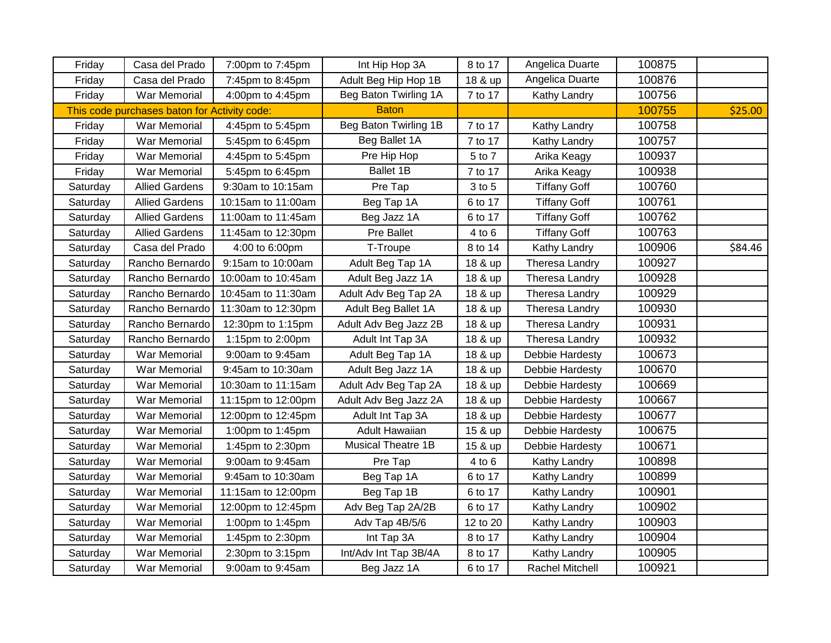| Friday                                       | Casa del Prado        | 7:00pm to 7:45pm   | Int Hip Hop 3A        | 8 to 17  | Angelica Duarte       | 100875  |         |
|----------------------------------------------|-----------------------|--------------------|-----------------------|----------|-----------------------|---------|---------|
| Friday                                       | Casa del Prado        | 7:45pm to 8:45pm   | Adult Beg Hip Hop 1B  | 18 & up  | Angelica Duarte       | 100876  |         |
| Friday                                       | War Memorial          | 4:00pm to 4:45pm   | Beg Baton Twirling 1A | 7 to 17  | Kathy Landry          | 100756  |         |
| This code purchases baton for Activity code: |                       | <b>Baton</b>       |                       |          | 100755                | \$25.00 |         |
| Friday                                       | War Memorial          | 4:45pm to 5:45pm   | Beg Baton Twirling 1B | 7 to 17  | Kathy Landry          | 100758  |         |
| Friday                                       | War Memorial          | 5:45pm to 6:45pm   | Beg Ballet 1A         | 7 to 17  | Kathy Landry          | 100757  |         |
| Friday                                       | War Memorial          | 4:45pm to 5:45pm   | Pre Hip Hop           | 5 to 7   | Arika Keagy           | 100937  |         |
| Friday                                       | War Memorial          | 5:45pm to 6:45pm   | Ballet 1B             | 7 to 17  | Arika Keagy           | 100938  |         |
| Saturday                                     | <b>Allied Gardens</b> | 9:30am to 10:15am  | Pre Tap               | 3 to 5   | <b>Tiffany Goff</b>   | 100760  |         |
| Saturday                                     | <b>Allied Gardens</b> | 10:15am to 11:00am | Beg Tap 1A            | 6 to 17  | <b>Tiffany Goff</b>   | 100761  |         |
| Saturday                                     | <b>Allied Gardens</b> | 11:00am to 11:45am | Beg Jazz 1A           | 6 to 17  | <b>Tiffany Goff</b>   | 100762  |         |
| Saturday                                     | <b>Allied Gardens</b> | 11:45am to 12:30pm | Pre Ballet            | 4 to 6   | <b>Tiffany Goff</b>   | 100763  |         |
| Saturday                                     | Casa del Prado        | 4:00 to 6:00pm     | T-Troupe              | 8 to 14  | Kathy Landry          | 100906  | \$84.46 |
| Saturday                                     | Rancho Bernardo       | 9:15am to 10:00am  | Adult Beg Tap 1A      | 18 & up  | Theresa Landry        | 100927  |         |
| Saturday                                     | Rancho Bernardo       | 10:00am to 10:45am | Adult Beg Jazz 1A     | 18 & up  | Theresa Landry        | 100928  |         |
| Saturday                                     | Rancho Bernardo       | 10:45am to 11:30am | Adult Adv Beg Tap 2A  | 18 & up  | Theresa Landry        | 100929  |         |
| Saturday                                     | Rancho Bernardo       | 11:30am to 12:30pm | Adult Beg Ballet 1A   | 18 & up  | <b>Theresa Landry</b> | 100930  |         |
| Saturday                                     | Rancho Bernardo       | 12:30pm to 1:15pm  | Adult Adv Beg Jazz 2B | 18 & up  | Theresa Landry        | 100931  |         |
| Saturday                                     | Rancho Bernardo       | 1:15pm to 2:00pm   | Adult Int Tap 3A      | 18 & up  | Theresa Landry        | 100932  |         |
| Saturday                                     | War Memorial          | 9:00am to 9:45am   | Adult Beg Tap 1A      | 18 & up  | Debbie Hardesty       | 100673  |         |
| Saturday                                     | War Memorial          | 9:45am to 10:30am  | Adult Beg Jazz 1A     | 18 & up  | Debbie Hardesty       | 100670  |         |
| Saturday                                     | War Memorial          | 10:30am to 11:15am | Adult Adv Beg Tap 2A  | 18 & up  | Debbie Hardesty       | 100669  |         |
| Saturday                                     | War Memorial          | 11:15pm to 12:00pm | Adult Adv Beg Jazz 2A | 18 & up  | Debbie Hardesty       | 100667  |         |
| Saturday                                     | War Memorial          | 12:00pm to 12:45pm | Adult Int Tap 3A      | 18 & up  | Debbie Hardesty       | 100677  |         |
| Saturday                                     | War Memorial          | 1:00pm to 1:45pm   | Adult Hawaiian        | 15 & up  | Debbie Hardesty       | 100675  |         |
| Saturday                                     | War Memorial          | 1:45pm to 2:30pm   | Musical Theatre 1B    | 15 & up  | Debbie Hardesty       | 100671  |         |
| Saturday                                     | War Memorial          | 9:00am to 9:45am   | Pre Tap               | 4 to 6   | Kathy Landry          | 100898  |         |
| Saturday                                     | War Memorial          | 9:45am to 10:30am  | Beg Tap 1A            | 6 to 17  | Kathy Landry          | 100899  |         |
| Saturday                                     | War Memorial          | 11:15am to 12:00pm | Beg Tap 1B            | 6 to 17  | Kathy Landry          | 100901  |         |
| Saturday                                     | War Memorial          | 12:00pm to 12:45pm | Adv Beg Tap 2A/2B     | 6 to 17  | Kathy Landry          | 100902  |         |
| Saturday                                     | <b>War Memorial</b>   | 1:00pm to 1:45pm   | Adv Tap 4B/5/6        | 12 to 20 | Kathy Landry          | 100903  |         |
| Saturday                                     | War Memorial          | 1:45pm to 2:30pm   | Int Tap 3A            | 8 to 17  | Kathy Landry          | 100904  |         |
| Saturday                                     | War Memorial          | 2:30pm to 3:15pm   | Int/Adv Int Tap 3B/4A | 8 to 17  | Kathy Landry          | 100905  |         |
| Saturday                                     | War Memorial          | 9:00am to 9:45am   | Beg Jazz 1A           | 6 to 17  | Rachel Mitchell       | 100921  |         |